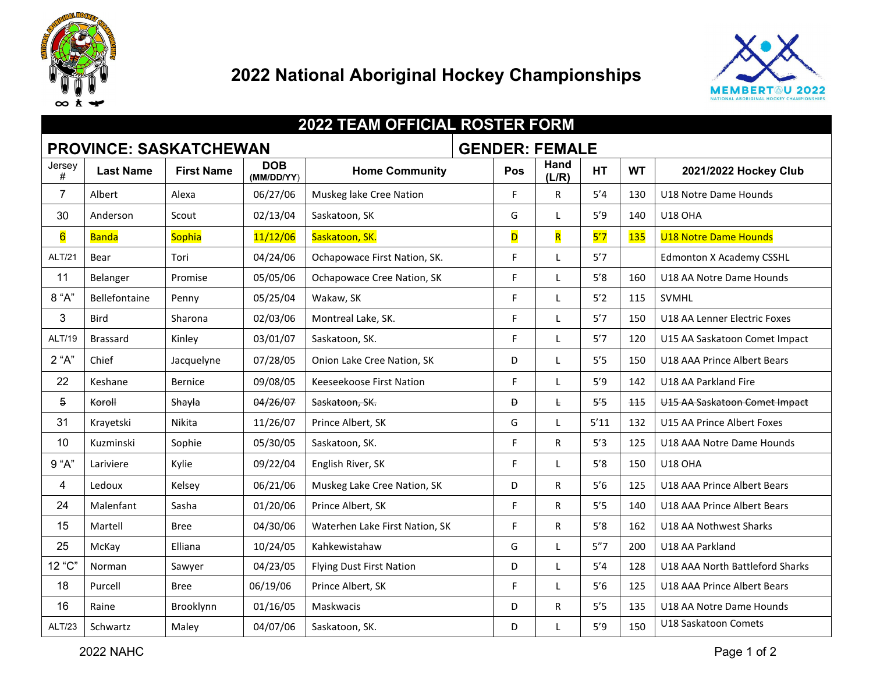

## **National Aboriginal Hockey Championships**



| <b>2022 TEAM OFFICIAL ROSTER FORM</b> |                  |                   |                          |                                 |  |                       |                         |           |           |                                 |
|---------------------------------------|------------------|-------------------|--------------------------|---------------------------------|--|-----------------------|-------------------------|-----------|-----------|---------------------------------|
| <b>PROVINCE: SASKATCHEWAN</b>         |                  |                   |                          |                                 |  | <b>GENDER: FEMALE</b> |                         |           |           |                                 |
| Jersey<br>#                           | <b>Last Name</b> | <b>First Name</b> | <b>DOB</b><br>(MM/DD/YY) | <b>Home Community</b>           |  | Pos                   | Hand<br>(L/R)           | <b>HT</b> | <b>WT</b> | 2021/2022 Hockey Club           |
| $\overline{7}$                        | Albert           | Alexa             | 06/27/06                 | Muskeg lake Cree Nation         |  | F                     | R                       | 5'4       | 130       | U18 Notre Dame Hounds           |
| 30                                    | Anderson         | Scout             | 02/13/04                 | Saskatoon, SK                   |  | G                     | L                       | 5'9       | 140       | <b>U18 OHA</b>                  |
| $6\overline{6}$                       | <b>Banda</b>     | Sophia            | 11/12/06                 | Saskatoon, SK.                  |  | D                     | $\overline{\mathsf{R}}$ | 5'7       | 135       | <b>U18 Notre Dame Hounds</b>    |
| ALT/21                                | Bear             | Tori              | 04/24/06                 | Ochapowace First Nation, SK.    |  | F                     | L                       | 5'7       |           | <b>Edmonton X Academy CSSHL</b> |
| 11                                    | Belanger         | Promise           | 05/05/06                 | Ochapowace Cree Nation, SK      |  | F                     | L                       | $5'8$     | 160       | U18 AA Notre Dame Hounds        |
| 8 "A"                                 | Bellefontaine    | Penny             | 05/25/04                 | Wakaw, SK                       |  | F                     |                         | $5'2$     | 115       | SVMHL                           |
| 3                                     | <b>Bird</b>      | Sharona           | 02/03/06                 | Montreal Lake, SK.              |  |                       | L                       | 5'7       | 150       | U18 AA Lenner Electric Foxes    |
| ALT/19                                | <b>Brassard</b>  | Kinley            | 03/01/07                 | Saskatoon, SK.                  |  | F                     | $\mathbf{I}$            | 5'7       | 120       | U15 AA Saskatoon Comet Impact   |
| 2 "A"                                 | Chief            | Jacquelyne        | 07/28/05                 | Onion Lake Cree Nation, SK      |  | D                     | $\mathbf{I}$            | 5'5       | 150       | U18 AAA Prince Albert Bears     |
| 22                                    | Keshane          | Bernice           | 09/08/05                 | <b>Keeseekoose First Nation</b> |  | F                     |                         | 5'9       | 142       | U18 AA Parkland Fire            |
| 5                                     | Koroll           | Shayla            | 04/26/07                 | Saskatoon, SK.                  |  | Ð                     | Ł                       | 5'5       | 115       | U15 AA Saskatoon Comet Impact   |
| 31                                    | Krayetski        | Nikita            | 11/26/07                 | Prince Albert, SK               |  | G                     |                         | 5'11      | 132       | U15 AA Prince Albert Foxes      |
| 10                                    | Kuzminski        | Sophie            | 05/30/05                 | Saskatoon, SK.                  |  | F                     | R                       | 5'3       | 125       | U18 AAA Notre Dame Hounds       |
| 9 "A"                                 | Lariviere        | Kylie             | 09/22/04                 | English River, SK               |  | F                     |                         | 5'8       | 150       | U18 OHA                         |
| 4                                     | Ledoux           | Kelsey            | 06/21/06                 | Muskeg Lake Cree Nation, SK     |  | D                     | R                       | 5'6       | 125       | U18 AAA Prince Albert Bears     |
| 24                                    | Malenfant        | Sasha             | 01/20/06                 | Prince Albert, SK               |  | F                     | $\mathsf R$             | 5'5       | 140       | U18 AAA Prince Albert Bears     |
| 15                                    | Martell          | <b>Bree</b>       | 04/30/06                 | Waterhen Lake First Nation, SK  |  | F                     | $\mathsf R$             | 5'8       | 162       | U18 AA Nothwest Sharks          |
| 25                                    | McKay            | Elliana           | 10/24/05                 | Kahkewistahaw                   |  | G                     |                         | 5"7       | 200       | U18 AA Parkland                 |
| 12 "C"                                | Norman           | Sawyer            | 04/23/05                 | <b>Flying Dust First Nation</b> |  | D                     | L                       | 5'4       | 128       | U18 AAA North Battleford Sharks |
| 18                                    | Purcell          | <b>Bree</b>       | 06/19/06                 | Prince Albert, SK               |  | F                     | L                       | 5'6       | 125       | U18 AAA Prince Albert Bears     |
| 16                                    | Raine            | Brooklynn         | 01/16/05                 | Maskwacis                       |  | D                     | R                       | $5'5$     | 135       | U18 AA Notre Dame Hounds        |
| ALT/23                                | Schwartz         | Maley             | 04/07/06                 | Saskatoon, SK.                  |  | D                     |                         | 5'9       | 150       | U18 Saskatoon Comets            |